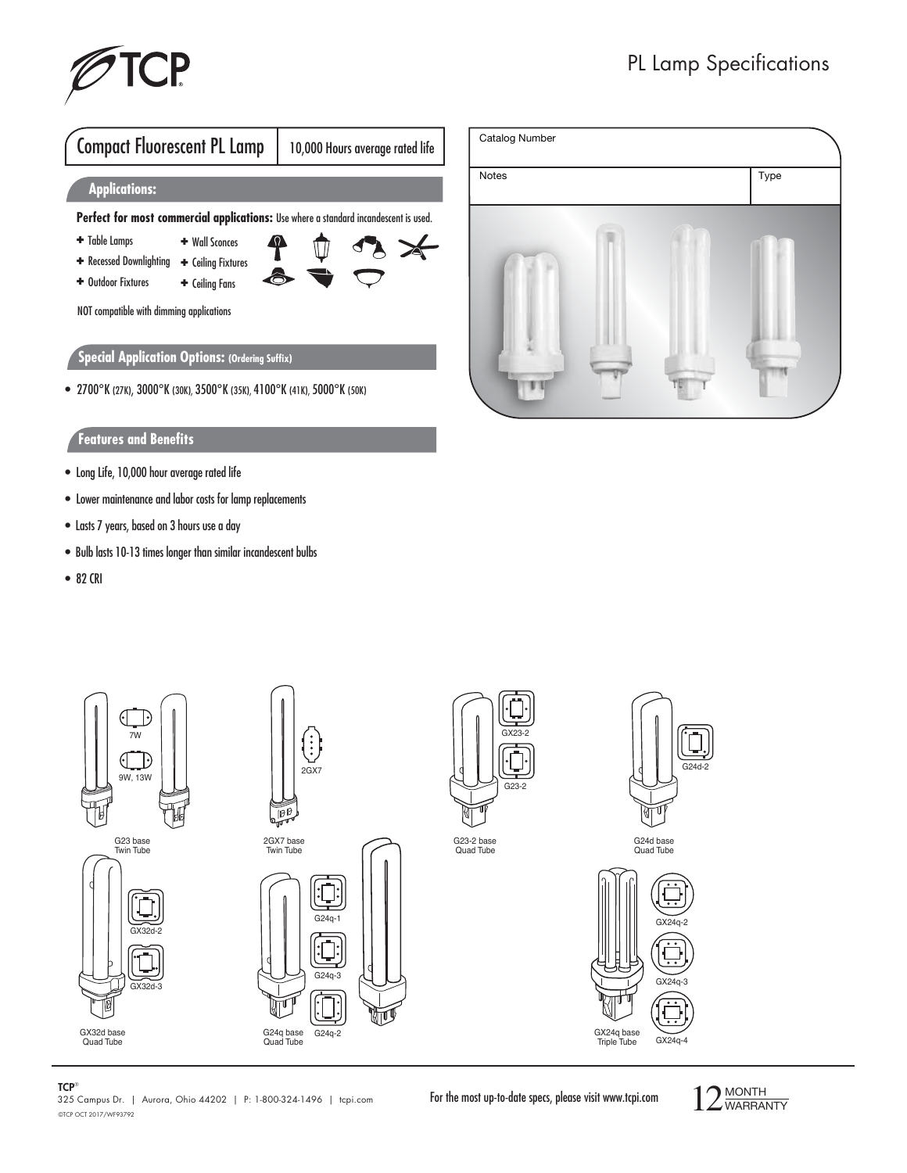



• 2700°K (27K), 3000°K (30K), 3500°K (35K), 4100°K (41K), 5000°K (50K)

## **Features and Benefits**

- Long Life, 10,000 hour average rated life
- Lower maintenance and labor costs for lamp replacements
- Lasts 7 years, based on 3 hours use a day
- Bulb lasts 10-13 times longer than similar incandescent bulbs
- 82 CRI





## TCP®

©TCP OCT 2017/WF93792 325 Campus Dr. | Aurora, Ohio 44202 | P: 1-800-324-1496 | tcpi.com For the most up-to-date specs, please visit www.tcpi.com